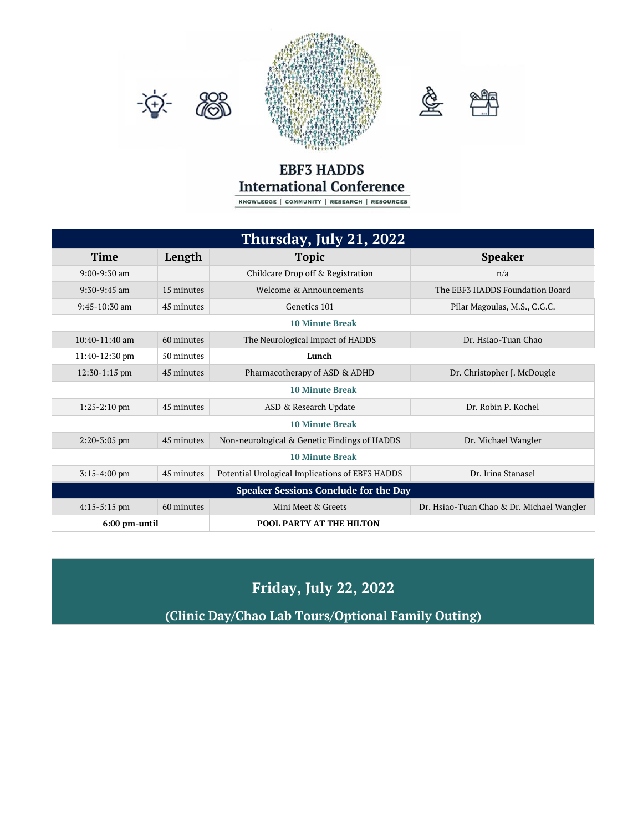





## **EBF3 HADDS International Conference**

KNOWLEDGE | COMMUNITY | RESEARCH | RESOURCES

| Thursday, July 21, 2022                      |            |                                                 |                                           |  |  |
|----------------------------------------------|------------|-------------------------------------------------|-------------------------------------------|--|--|
| <b>Time</b>                                  | Length     | <b>Topic</b>                                    | <b>Speaker</b>                            |  |  |
| $9:00 - 9:30$ am                             |            | Childcare Drop off & Registration               | n/a                                       |  |  |
| $9:30-9:45$ am                               | 15 minutes | Welcome & Announcements                         | The EBF3 HADDS Foundation Board           |  |  |
| $9:45-10:30$ am                              | 45 minutes | Genetics 101                                    | Pilar Magoulas, M.S., C.G.C.              |  |  |
| <b>10 Minute Break</b>                       |            |                                                 |                                           |  |  |
| $10:40-11:40$ am                             | 60 minutes | The Neurological Impact of HADDS                | Dr. Hsiao-Tuan Chao                       |  |  |
| $11:40-12:30$ pm                             | 50 minutes | Lunch                                           |                                           |  |  |
| $12:30-1:15$ pm                              | 45 minutes | Pharmacotherapy of ASD & ADHD                   | Dr. Christopher J. McDougle               |  |  |
| <b>10 Minute Break</b>                       |            |                                                 |                                           |  |  |
| $1:25-2:10$ pm                               | 45 minutes | ASD & Research Update                           | Dr. Robin P. Kochel                       |  |  |
| <b>10 Minute Break</b>                       |            |                                                 |                                           |  |  |
| $2:20-3:05$ pm                               | 45 minutes | Non-neurological & Genetic Findings of HADDS    | Dr. Michael Wangler                       |  |  |
| <b>10 Minute Break</b>                       |            |                                                 |                                           |  |  |
| $3:15-4:00$ pm                               | 45 minutes | Potential Urological Implications of EBF3 HADDS | Dr. Irina Stanasel                        |  |  |
| <b>Speaker Sessions Conclude for the Day</b> |            |                                                 |                                           |  |  |
| $4:15-5:15$ pm                               | 60 minutes | Mini Meet & Greets                              | Dr. Hsiao-Tuan Chao & Dr. Michael Wangler |  |  |
| 6:00 pm-until                                |            | <b>POOL PARTY AT THE HILTON</b>                 |                                           |  |  |

## **Friday, July 22, 2022**

**(Clinic Day/Chao Lab Tours/Optional Family Outing)**